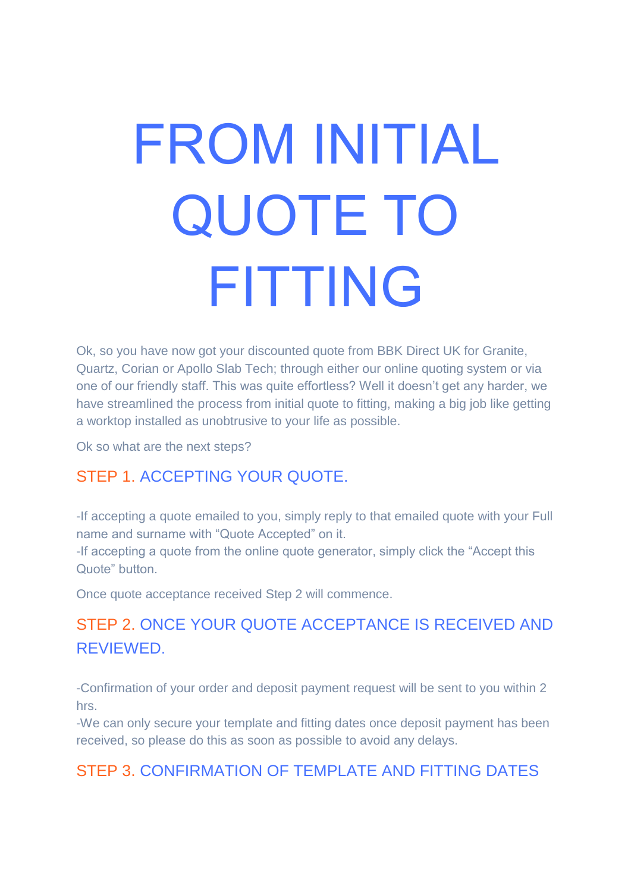# FROM INITIAL QUOTE TO FITTING

Ok, so you have now got your discounted quote from BBK Direct UK for Granite, Quartz, Corian or Apollo Slab Tech; through either our online quoting system or via one of our friendly staff. This was quite effortless? Well it doesn't get any harder, we have streamlined the process from initial quote to fitting, making a big job like getting a worktop installed as unobtrusive to your life as possible.

Ok so what are the next steps?

#### STEP 1. ACCEPTING YOUR QUOTE.

-If accepting a quote emailed to you, simply reply to that emailed quote with your Full name and surname with "Quote Accepted" on it.

-If accepting a quote from the online quote generator, simply click the "Accept this Quote" button.

Once quote acceptance received Step 2 will commence.

### STEP 2. ONCE YOUR QUOTE ACCEPTANCE IS RECEIVED AND REVIEWED.

-Confirmation of your order and deposit payment request will be sent to you within 2 hrs.

-We can only secure your template and fitting dates once deposit payment has been received, so please do this as soon as possible to avoid any delays.

#### STEP 3. CONFIRMATION OF TEMPLATE AND FITTING DATES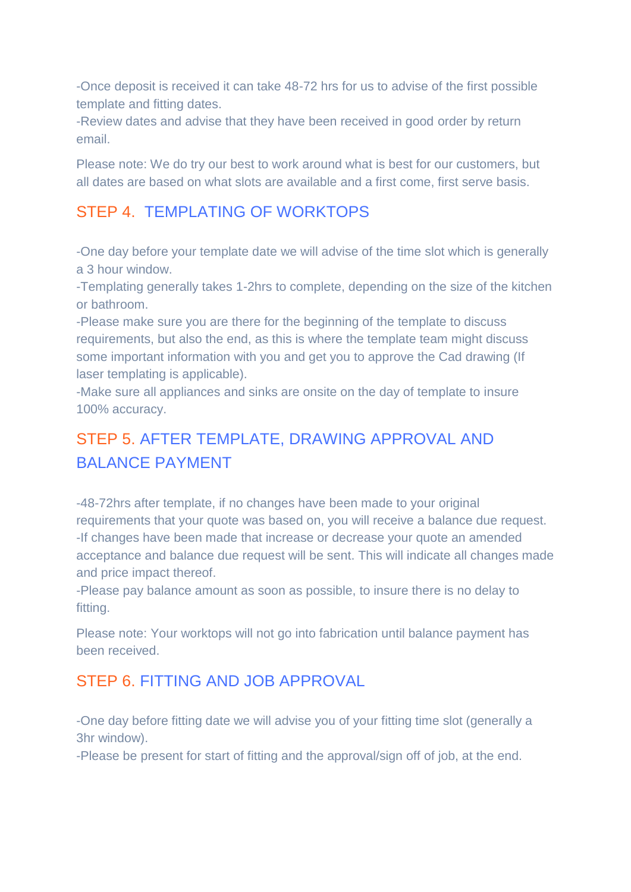-Once deposit is received it can take 48-72 hrs for us to advise of the first possible template and fitting dates.

-Review dates and advise that they have been received in good order by return email.

Please note: We do try our best to work around what is best for our customers, but all dates are based on what slots are available and a first come, first serve basis.

#### STEP 4. TEMPLATING OF WORKTOPS

-One day before your template date we will advise of the time slot which is generally a 3 hour window.

-Templating generally takes 1-2hrs to complete, depending on the size of the kitchen or bathroom.

-Please make sure you are there for the beginning of the template to discuss requirements, but also the end, as this is where the template team might discuss some important information with you and get you to approve the Cad drawing (If laser templating is applicable).

-Make sure all appliances and sinks are onsite on the day of template to insure 100% accuracy.

## STEP 5. AFTER TEMPLATE, DRAWING APPROVAL AND BALANCE PAYMENT

-48-72hrs after template, if no changes have been made to your original requirements that your quote was based on, you will receive a balance due request. -If changes have been made that increase or decrease your quote an amended acceptance and balance due request will be sent. This will indicate all changes made and price impact thereof.

-Please pay balance amount as soon as possible, to insure there is no delay to fitting.

Please note: Your worktops will not go into fabrication until balance payment has been received.

#### STEP 6. FITTING AND JOB APPROVAL

-One day before fitting date we will advise you of your fitting time slot (generally a 3hr window).

-Please be present for start of fitting and the approval/sign off of job, at the end.